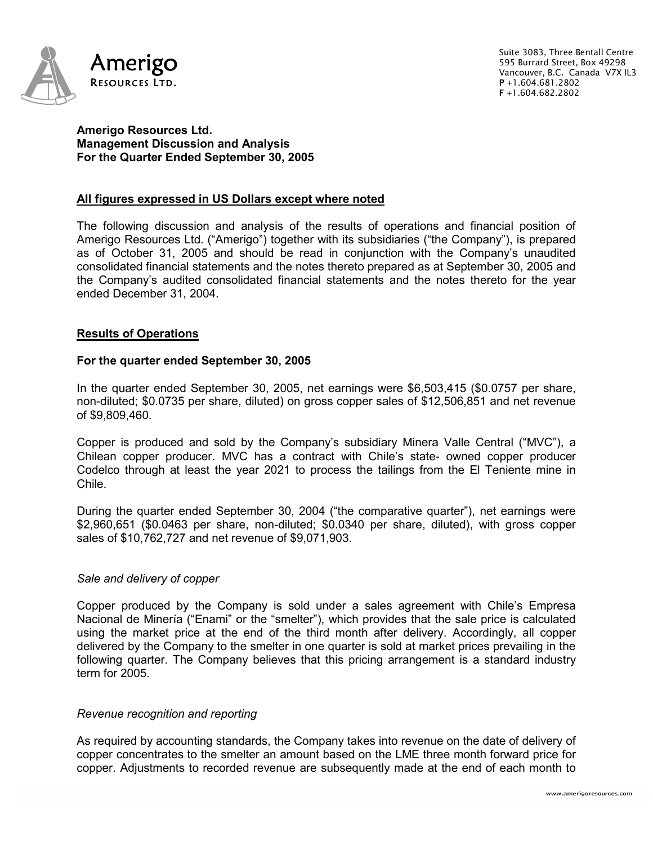

Suite 3083, Three Bentall Centre 595 Burrard Street, Box 49298 Vancouver, B.C. Canada V7X IL3 P +1.604.681.2802 F +1.604.682.2802

## **Amerigo Resources Ltd. Management Discussion and Analysis For the Quarter Ended September 30, 2005**

# **All figures expressed in US Dollars except where noted**

The following discussion and analysis of the results of operations and financial position of Amerigo Resources Ltd. ("Amerigo") together with its subsidiaries ("the Company"), is prepared as of October 31, 2005 and should be read in conjunction with the Company's unaudited consolidated financial statements and the notes thereto prepared as at September 30, 2005 and the Company's audited consolidated financial statements and the notes thereto for the year ended December 31, 2004.

## **Results of Operations**

### **For the quarter ended September 30, 2005**

In the quarter ended September 30, 2005, net earnings were \$6,503,415 (\$0.0757 per share, non-diluted; \$0.0735 per share, diluted) on gross copper sales of \$12,506,851 and net revenue of \$9,809,460.

Copper is produced and sold by the Company's subsidiary Minera Valle Central ("MVC"), a Chilean copper producer. MVC has a contract with Chile's state- owned copper producer Codelco through at least the year 2021 to process the tailings from the El Teniente mine in Chile.

During the quarter ended September 30, 2004 ("the comparative quarter"), net earnings were \$2,960,651 (\$0.0463 per share, non-diluted; \$0.0340 per share, diluted), with gross copper sales of \$10,762,727 and net revenue of \$9,071,903.

### *Sale and delivery of copper*

Copper produced by the Company is sold under a sales agreement with Chile's Empresa Nacional de Minería ("Enami" or the "smelter"), which provides that the sale price is calculated using the market price at the end of the third month after delivery. Accordingly, all copper delivered by the Company to the smelter in one quarter is sold at market prices prevailing in the following quarter. The Company believes that this pricing arrangement is a standard industry term for 2005.

#### *Revenue recognition and reporting*

As required by accounting standards, the Company takes into revenue on the date of delivery of copper concentrates to the smelter an amount based on the LME three month forward price for copper. Adjustments to recorded revenue are subsequently made at the end of each month to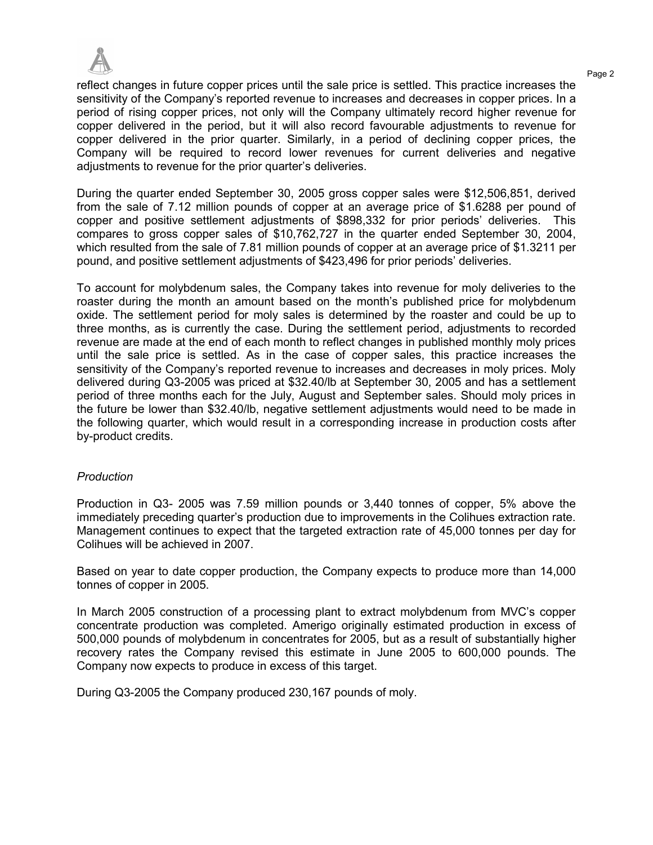

Page 2 reflect changes in future copper prices until the sale price is settled. This practice increases the sensitivity of the Company's reported revenue to increases and decreases in copper prices. In a period of rising copper prices, not only will the Company ultimately record higher revenue for copper delivered in the period, but it will also record favourable adjustments to revenue for copper delivered in the prior quarter. Similarly, in a period of declining copper prices, the Company will be required to record lower revenues for current deliveries and negative adiustments to revenue for the prior quarter's deliveries.

During the quarter ended September 30, 2005 gross copper sales were \$12,506,851, derived from the sale of 7.12 million pounds of copper at an average price of \$1.6288 per pound of copper and positive settlement adjustments of \$898,332 for prior periods' deliveries. This compares to gross copper sales of \$10,762,727 in the quarter ended September 30, 2004, which resulted from the sale of 7.81 million pounds of copper at an average price of \$1.3211 per pound, and positive settlement adjustments of \$423,496 for prior periods' deliveries.

To account for molybdenum sales, the Company takes into revenue for moly deliveries to the roaster during the month an amount based on the month's published price for molybdenum oxide. The settlement period for moly sales is determined by the roaster and could be up to three months, as is currently the case. During the settlement period, adjustments to recorded revenue are made at the end of each month to reflect changes in published monthly moly prices until the sale price is settled. As in the case of copper sales, this practice increases the sensitivity of the Company's reported revenue to increases and decreases in moly prices. Moly delivered during Q3-2005 was priced at \$32.40/lb at September 30, 2005 and has a settlement period of three months each for the July, August and September sales. Should moly prices in the future be lower than \$32.40/lb, negative settlement adjustments would need to be made in the following quarter, which would result in a corresponding increase in production costs after by-product credits.

### *Production*

Production in Q3- 2005 was 7.59 million pounds or 3,440 tonnes of copper, 5% above the immediately preceding quarter's production due to improvements in the Colihues extraction rate. Management continues to expect that the targeted extraction rate of 45,000 tonnes per day for Colihues will be achieved in 2007.

Based on year to date copper production, the Company expects to produce more than 14,000 tonnes of copper in 2005.

In March 2005 construction of a processing plant to extract molybdenum from MVC's copper concentrate production was completed. Amerigo originally estimated production in excess of 500,000 pounds of molybdenum in concentrates for 2005, but as a result of substantially higher recovery rates the Company revised this estimate in June 2005 to 600,000 pounds. The Company now expects to produce in excess of this target.

During Q3-2005 the Company produced 230,167 pounds of moly.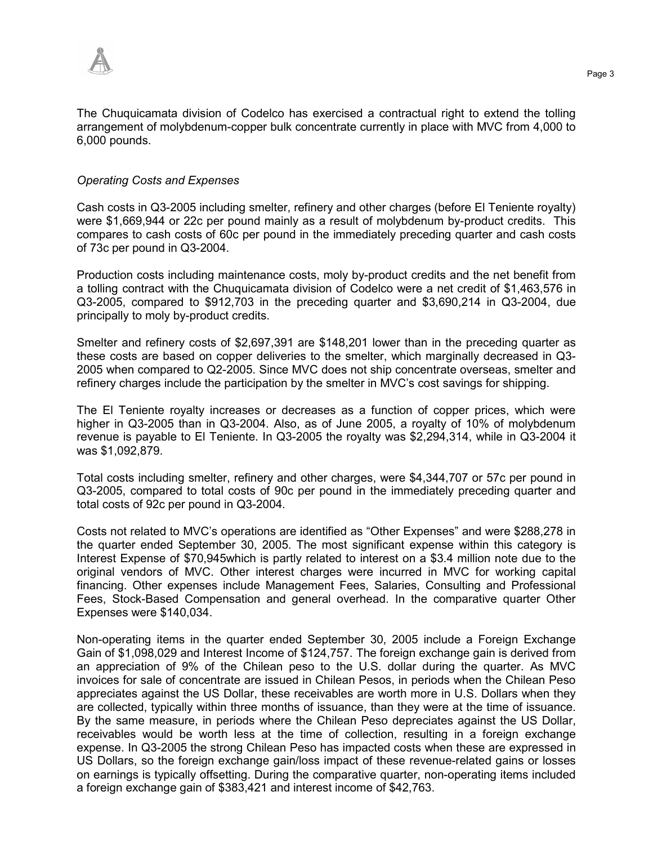

The Chuquicamata division of Codelco has exercised a contractual right to extend the tolling arrangement of molybdenum-copper bulk concentrate currently in place with MVC from 4,000 to 6,000 pounds.

#### *Operating Costs and Expenses*

Cash costs in Q3-2005 including smelter, refinery and other charges (before El Teniente royalty) were \$1,669,944 or 22c per pound mainly as a result of molybdenum by-product credits. This compares to cash costs of 60c per pound in the immediately preceding quarter and cash costs of 73c per pound in Q3-2004.

Production costs including maintenance costs, moly by-product credits and the net benefit from a tolling contract with the Chuquicamata division of Codelco were a net credit of \$1,463,576 in Q3-2005, compared to \$912,703 in the preceding quarter and \$3,690,214 in Q3-2004, due principally to moly by-product credits.

Smelter and refinery costs of \$2,697,391 are \$148,201 lower than in the preceding quarter as these costs are based on copper deliveries to the smelter, which marginally decreased in Q3- 2005 when compared to Q2-2005. Since MVC does not ship concentrate overseas, smelter and refinery charges include the participation by the smelter in MVC's cost savings for shipping.

The El Teniente royalty increases or decreases as a function of copper prices, which were higher in Q3-2005 than in Q3-2004. Also, as of June 2005, a royalty of 10% of molybdenum revenue is payable to El Teniente. In Q3-2005 the royalty was \$2,294,314, while in Q3-2004 it was \$1,092,879.

Total costs including smelter, refinery and other charges, were \$4,344,707 or 57c per pound in Q3-2005, compared to total costs of 90c per pound in the immediately preceding quarter and total costs of 92c per pound in Q3-2004.

Costs not related to MVC's operations are identified as "Other Expenses" and were \$288,278 in the quarter ended September 30, 2005. The most significant expense within this category is Interest Expense of \$70,945which is partly related to interest on a \$3.4 million note due to the original vendors of MVC. Other interest charges were incurred in MVC for working capital financing. Other expenses include Management Fees, Salaries, Consulting and Professional Fees, Stock-Based Compensation and general overhead. In the comparative quarter Other Expenses were \$140,034.

Non-operating items in the quarter ended September 30, 2005 include a Foreign Exchange Gain of \$1,098,029 and Interest Income of \$124,757. The foreign exchange gain is derived from an appreciation of 9% of the Chilean peso to the U.S. dollar during the quarter. As MVC invoices for sale of concentrate are issued in Chilean Pesos, in periods when the Chilean Peso appreciates against the US Dollar, these receivables are worth more in U.S. Dollars when they are collected, typically within three months of issuance, than they were at the time of issuance. By the same measure, in periods where the Chilean Peso depreciates against the US Dollar, receivables would be worth less at the time of collection, resulting in a foreign exchange expense. In Q3-2005 the strong Chilean Peso has impacted costs when these are expressed in US Dollars, so the foreign exchange gain/loss impact of these revenue-related gains or losses on earnings is typically offsetting. During the comparative quarter, non-operating items included a foreign exchange gain of \$383,421 and interest income of \$42,763.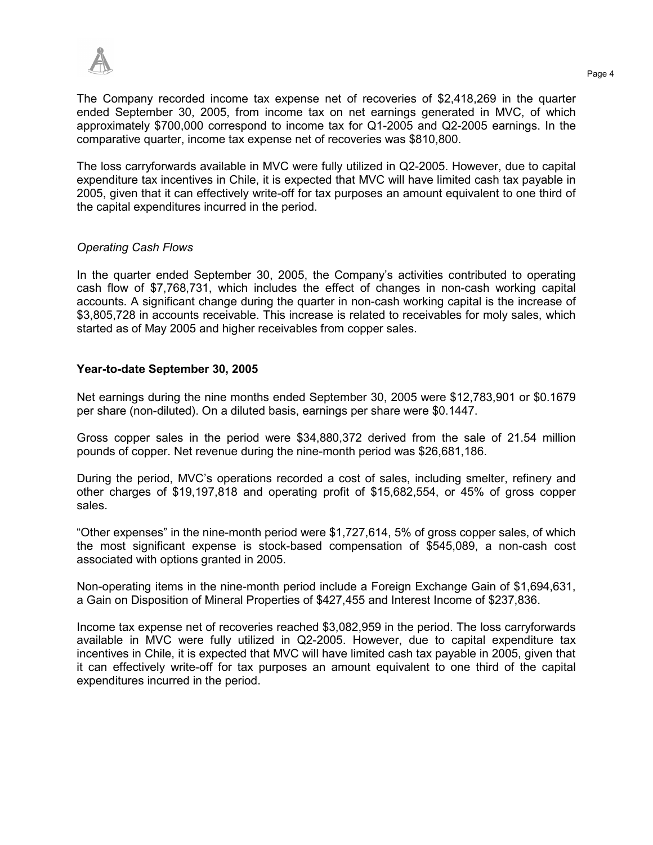

The Company recorded income tax expense net of recoveries of \$2,418,269 in the quarter ended September 30, 2005, from income tax on net earnings generated in MVC, of which approximately \$700,000 correspond to income tax for Q1-2005 and Q2-2005 earnings. In the comparative quarter, income tax expense net of recoveries was \$810,800.

The loss carryforwards available in MVC were fully utilized in Q2-2005. However, due to capital expenditure tax incentives in Chile, it is expected that MVC will have limited cash tax payable in 2005, given that it can effectively write-off for tax purposes an amount equivalent to one third of the capital expenditures incurred in the period.

# *Operating Cash Flows*

In the quarter ended September 30, 2005, the Company's activities contributed to operating cash flow of \$7,768,731, which includes the effect of changes in non-cash working capital accounts. A significant change during the quarter in non-cash working capital is the increase of \$3,805,728 in accounts receivable. This increase is related to receivables for moly sales, which started as of May 2005 and higher receivables from copper sales.

## **Year-to-date September 30, 2005**

Net earnings during the nine months ended September 30, 2005 were \$12,783,901 or \$0.1679 per share (non-diluted). On a diluted basis, earnings per share were \$0.1447.

Gross copper sales in the period were \$34,880,372 derived from the sale of 21.54 million pounds of copper. Net revenue during the nine-month period was \$26,681,186.

During the period, MVC's operations recorded a cost of sales, including smelter, refinery and other charges of \$19,197,818 and operating profit of \$15,682,554, or 45% of gross copper sales.

"Other expenses" in the nine-month period were \$1,727,614, 5% of gross copper sales, of which the most significant expense is stock-based compensation of \$545,089, a non-cash cost associated with options granted in 2005.

Non-operating items in the nine-month period include a Foreign Exchange Gain of \$1,694,631, a Gain on Disposition of Mineral Properties of \$427,455 and Interest Income of \$237,836.

Income tax expense net of recoveries reached \$3,082,959 in the period. The loss carryforwards available in MVC were fully utilized in Q2-2005. However, due to capital expenditure tax incentives in Chile, it is expected that MVC will have limited cash tax payable in 2005, given that it can effectively write-off for tax purposes an amount equivalent to one third of the capital expenditures incurred in the period.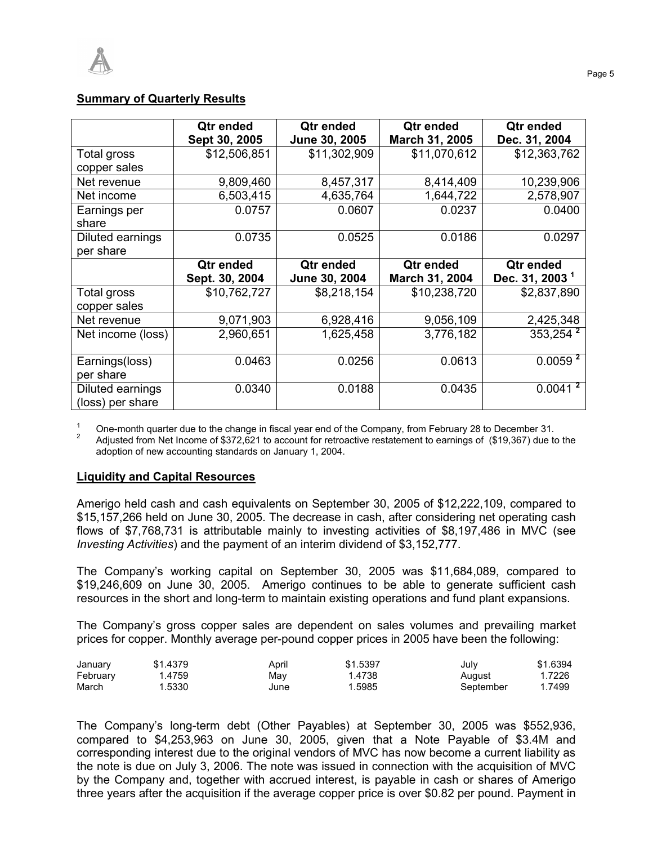# **Summary of Quarterly Results**

|                                      | Qtr ended<br>Sept 30, 2005 | Qtr ended<br>June 30, 2005 | Qtr ended<br>March 31, 2005 | Qtr ended<br>Dec. 31, 2004 |
|--------------------------------------|----------------------------|----------------------------|-----------------------------|----------------------------|
| Total gross                          | \$12,506,851               | \$11,302,909               | \$11,070,612                | \$12,363,762               |
| copper sales                         |                            |                            |                             |                            |
| Net revenue                          | 9,809,460                  | 8,457,317                  | 8,414,409                   | 10,239,906                 |
| Net income                           | 6,503,415                  | 4,635,764                  | 1,644,722                   | 2,578,907                  |
| Earnings per                         | 0.0757                     | 0.0607                     | 0.0237                      | 0.0400                     |
| share                                |                            |                            |                             |                            |
| Diluted earnings                     | 0.0735                     | 0.0525                     | 0.0186                      | 0.0297                     |
| per share                            |                            |                            |                             |                            |
|                                      | Qtr ended                  | Qtr ended                  | Qtr ended                   | Qtr ended                  |
|                                      | Sept. 30, 2004             | June 30, 2004              | March 31, 2004              | Dec. 31, 2003 <sup>1</sup> |
| Total gross                          | \$10,762,727               | \$8,218,154                | \$10,238,720                | \$2,837,890                |
| copper sales                         |                            |                            |                             |                            |
| Net revenue                          | 9,071,903                  | 6,928,416                  | 9,056,109                   | 2,425,348                  |
| Net income (loss)                    | 2,960,651                  | 1,625,458                  | 3,776,182                   | $353,254$ <sup>2</sup>     |
| Earnings(loss)<br>per share          | 0.0463                     | 0.0256                     | 0.0613                      | 0.0059 <sup>2</sup>        |
|                                      |                            |                            |                             | 0.0041 <sup>2</sup>        |
| Diluted earnings<br>(loss) per share | 0.0340                     | 0.0188                     | 0.0435                      |                            |

1 One-month quarter due to the change in fiscal year end of the Company, from February 28 to December 31. 2

 Adjusted from Net Income of \$372,621 to account for retroactive restatement to earnings of (\$19,367) due to the adoption of new accounting standards on January 1, 2004.

# **Liquidity and Capital Resources**

Amerigo held cash and cash equivalents on September 30, 2005 of \$12,222,109, compared to \$15,157,266 held on June 30, 2005. The decrease in cash, after considering net operating cash flows of \$7,768,731 is attributable mainly to investing activities of \$8,197,486 in MVC (see *Investing Activities*) and the payment of an interim dividend of \$3,152,777.

The Company's working capital on September 30, 2005 was \$11,684,089, compared to \$19,246,609 on June 30, 2005. Amerigo continues to be able to generate sufficient cash resources in the short and long-term to maintain existing operations and fund plant expansions.

The Company's gross copper sales are dependent on sales volumes and prevailing market prices for copper. Monthly average per-pound copper prices in 2005 have been the following:

| January  | \$1.4379 | April | \$1.5397 | July      | \$1.6394 |
|----------|----------|-------|----------|-----------|----------|
| February | .4759    | May   | .4738    | Auaust    | . 7226   |
| March    | 1.5330   | June  | .5985    | September | .7499    |

The Company's long-term debt (Other Payables) at September 30, 2005 was \$552,936, compared to \$4,253,963 on June 30, 2005, given that a Note Payable of \$3.4M and corresponding interest due to the original vendors of MVC has now become a current liability as the note is due on July 3, 2006. The note was issued in connection with the acquisition of MVC by the Company and, together with accrued interest, is payable in cash or shares of Amerigo three years after the acquisition if the average copper price is over \$0.82 per pound. Payment in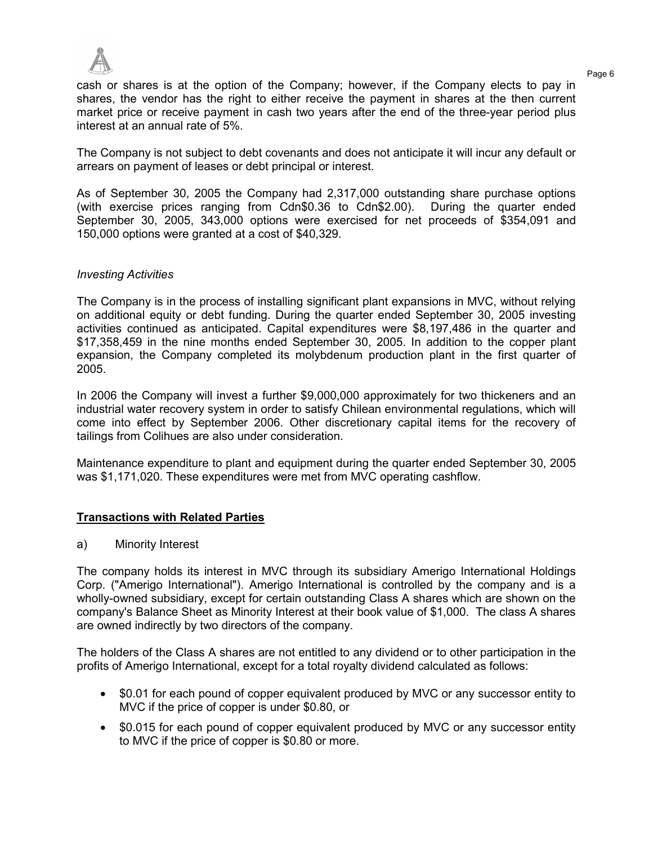

Page 6 cash or shares is at the option of the Company; however, if the Company elects to pay in shares, the vendor has the right to either receive the payment in shares at the then current market price or receive payment in cash two years after the end of the three-year period plus interest at an annual rate of 5%.

The Company is not subject to debt covenants and does not anticipate it will incur any default or arrears on payment of leases or debt principal or interest.

As of September 30, 2005 the Company had 2,317,000 outstanding share purchase options (with exercise prices ranging from Cdn\$0.36 to Cdn\$2.00). During the quarter ended September 30, 2005, 343,000 options were exercised for net proceeds of \$354,091 and 150,000 options were granted at a cost of \$40,329.

### *Investing Activities*

The Company is in the process of installing significant plant expansions in MVC, without relying on additional equity or debt funding. During the quarter ended September 30, 2005 investing activities continued as anticipated. Capital expenditures were \$8,197,486 in the quarter and \$17,358,459 in the nine months ended September 30, 2005. In addition to the copper plant expansion, the Company completed its molybdenum production plant in the first quarter of 2005.

In 2006 the Company will invest a further \$9,000,000 approximately for two thickeners and an industrial water recovery system in order to satisfy Chilean environmental regulations, which will come into effect by September 2006. Other discretionary capital items for the recovery of tailings from Colihues are also under consideration.

Maintenance expenditure to plant and equipment during the quarter ended September 30, 2005 was \$1,171,020. These expenditures were met from MVC operating cashflow.

### **Transactions with Related Parties**

a) Minority Interest

The company holds its interest in MVC through its subsidiary Amerigo International Holdings Corp. ("Amerigo International"). Amerigo International is controlled by the company and is a wholly-owned subsidiary, except for certain outstanding Class A shares which are shown on the company's Balance Sheet as Minority Interest at their book value of \$1,000. The class A shares are owned indirectly by two directors of the company.

The holders of the Class A shares are not entitled to any dividend or to other participation in the profits of Amerigo International, except for a total royalty dividend calculated as follows:

- \$0.01 for each pound of copper equivalent produced by MVC or any successor entity to MVC if the price of copper is under \$0.80, or
- \$0.015 for each pound of copper equivalent produced by MVC or any successor entity to MVC if the price of copper is \$0.80 or more.